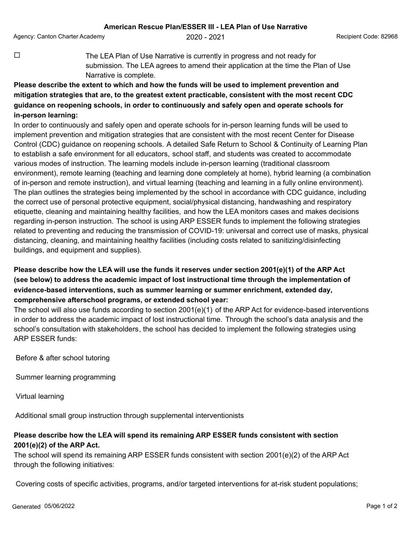Agency: Canton Charter Academy **2020 - 2021** Agency: Canton Charter Academy **2020** - 2021

 $\Box$  The LEA Plan of Use Narrative is currently in progress and not ready for submission. The LEA agrees to amend their application at the time the Plan of Use Narrative is complete.

## **Please describe the extent to which and how the funds will be used to implement prevention and mitigation strategies that are, to the greatest extent practicable, consistent with the most recent CDC guidance on reopening schools, in order to continuously and safely open and operate schools for in-person learning:**

In order to continuously and safely open and operate schools for in-person learning funds will be used to implement prevention and mitigation strategies that are consistent with the most recent Center for Disease Control (CDC) guidance on reopening schools. A detailed Safe Return to School & Continuity of Learning Plan to establish a safe environment for all educators, school staff, and students was created to accommodate various modes of instruction. The learning models include in-person learning (traditional classroom environment), remote learning (teaching and learning done completely at home), hybrid learning (a combination of in-person and remote instruction), and virtual learning (teaching and learning in a fully online environment). The plan outlines the strategies being implemented by the school in accordance with CDC guidance, including the correct use of personal protective equipment, social/physical distancing, handwashing and respiratory etiquette, cleaning and maintaining healthy facilities, and how the LEA monitors cases and makes decisions regarding in-person instruction. The school is using ARP ESSER funds to implement the following strategies related to preventing and reducing the transmission of COVID-19: universal and correct use of masks, physical distancing, cleaning, and maintaining healthy facilities (including costs related to sanitizing/disinfecting buildings, and equipment and supplies).

## **Please describe how the LEA will use the funds it reserves under section 2001(e)(1) of the ARP Act (see below) to address the academic impact of lost instructional time through the implementation of evidence-based interventions, such as summer learning or summer enrichment, extended day, comprehensive afterschool programs, or extended school year:**

The school will also use funds according to section 2001(e)(1) of the ARP Act for evidence-based interventions in order to address the academic impact of lost instructional time. Through the school's data analysis and the school's consultation with stakeholders, the school has decided to implement the following strategies using ARP ESSER funds:

Before & after school tutoring

Summer learning programming

Virtual learning

Additional small group instruction through supplemental interventionists

## **Please describe how the LEA will spend its remaining ARP ESSER funds consistent with section 2001(e)(2) of the ARP Act.**

The school will spend its remaining ARP ESSER funds consistent with section 2001(e)(2) of the ARP Act through the following initiatives:

Covering costs of specific activities, programs, and/or targeted interventions for at-risk student populations;